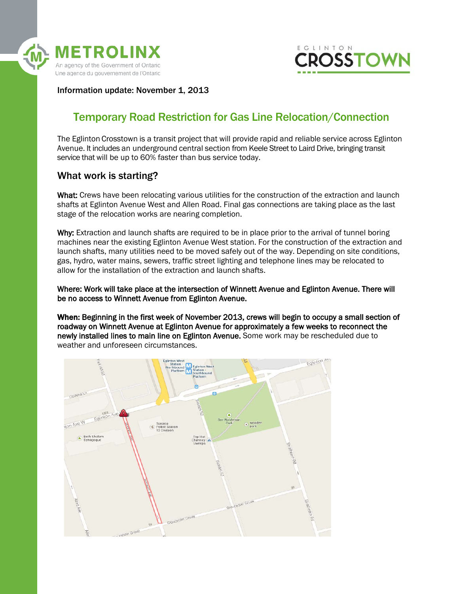



Information update: November 1, 2013

# Temporary Road Restriction for Gas Line Relocation/Connection

The Eglinton Crosstown is a transit project that will provide rapid and reliable service across Eglinton Avenue. It includes an underground central section from Keele Street to Laird Drive, bringing transit service that will be up to 60% faster than bus service today.

# What work is starting?

What: Crews have been relocating various utilities for the construction of the extraction and launch shafts at Eglinton Avenue West and Allen Road. Final gas connections are taking place as the last stage of the relocation works are nearing completion.

Why: Extraction and launch shafts are required to be in place prior to the arrival of tunnel boring machines near the existing Eglinton Avenue West station. For the construction of the extraction and launch shafts, many utilities need to be moved safely out of the way. Depending on site conditions, gas, hydro, water mains, sewers, traffic street lighting and telephone lines may be relocated to allow for the installation of the extraction and launch shafts.

Where: Work will take place at the intersection of Winnett Avenue and Eglinton Avenue. There will be no access to Winnett Avenue from Eglinton Avenue.

When: Beginning in the first week of November 2013, crews will begin to occupy a small section of roadway on Winnett Avenue at Eglinton Avenue for approximately a few weeks to reconnect the newly installed lines to main line on Eglinton Avenue. Some work may be rescheduled due to weather and unforeseen circumstances.